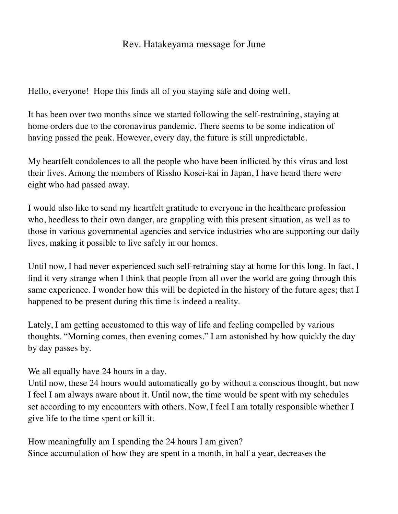## Rev. Hatakeyama message for June

Hello, everyone! Hope this finds all of you staying safe and doing well.

It has been over two months since we started following the self-restraining, staying at home orders due to the coronavirus pandemic. There seems to be some indication of having passed the peak. However, every day, the future is still unpredictable.

My heartfelt condolences to all the people who have been inflicted by this virus and lost their lives. Among the members of Rissho Kosei-kai in Japan, I have heard there were eight who had passed away.

I would also like to send my heartfelt gratitude to everyone in the healthcare profession who, heedless to their own danger, are grappling with this present situation, as well as to those in various governmental agencies and service industries who are supporting our daily lives, making it possible to live safely in our homes.

Until now, I had never experienced such self-retraining stay at home for this long. In fact, I find it very strange when I think that people from all over the world are going through this same experience. I wonder how this will be depicted in the history of the future ages; that I happened to be present during this time is indeed a reality.

Lately, I am getting accustomed to this way of life and feeling compelled by various thoughts. "Morning comes, then evening comes." I am astonished by how quickly the day by day passes by.

We all equally have 24 hours in a day.

Until now, these 24 hours would automatically go by without a conscious thought, but now I feel I am always aware about it. Until now, the time would be spent with my schedules set according to my encounters with others. Now, I feel I am totally responsible whether I give life to the time spent or kill it.

How meaningfully am I spending the 24 hours I am given? Since accumulation of how they are spent in a month, in half a year, decreases the